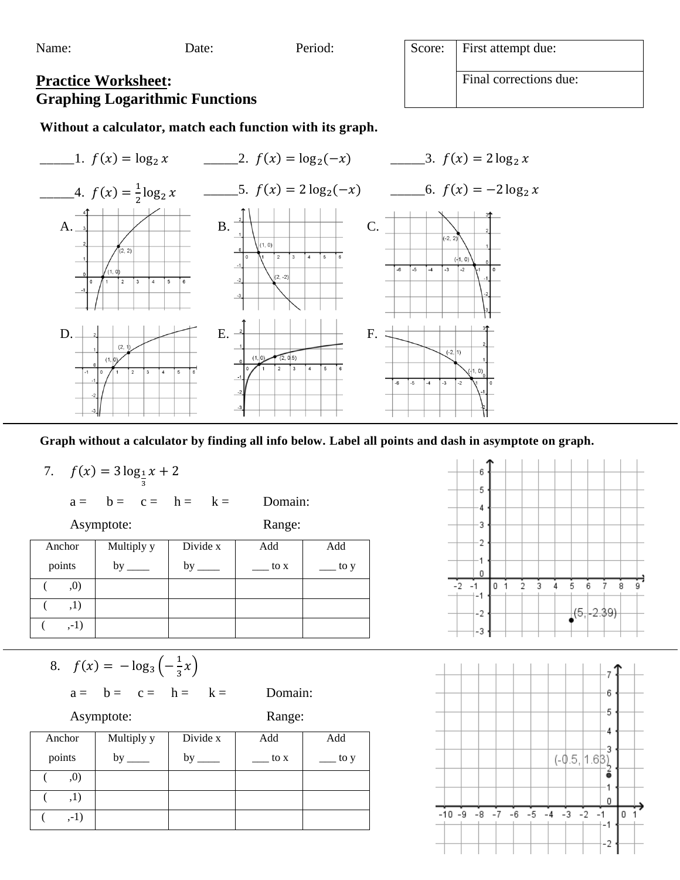

**Graph without a calculator by finding all info below. Label all points and dash in asymptote on graph.** 

7.  $f(x) = 3 \log_1 x + 2$ 3

 $a = b = c = h = k =$  Domain:

Asymptote: Range:

| Anchor | Multiply y | Divide x | Add  | Add  |
|--------|------------|----------|------|------|
| points | $by_$      | by       | to x | to y |
| , 0)   |            |          |      |      |
| ,1)    |            |          |      |      |
| $,-1)$ |            |          |      |      |

8. 
$$
f(x) = -\log_3\left(-\frac{1}{3}x\right)
$$

$$
a = \quad b = \quad c = \quad h = \quad k = \quad \quad \text{Domain:}
$$

Asymptote: Range:

| Anchor | Multiply y | Divide x | Add  | Add  |
|--------|------------|----------|------|------|
| points | by         | by       | to x | to y |
| ,0)    |            |          |      |      |
| ,1)    |            |          |      |      |
| $,-1)$ |            |          |      |      |